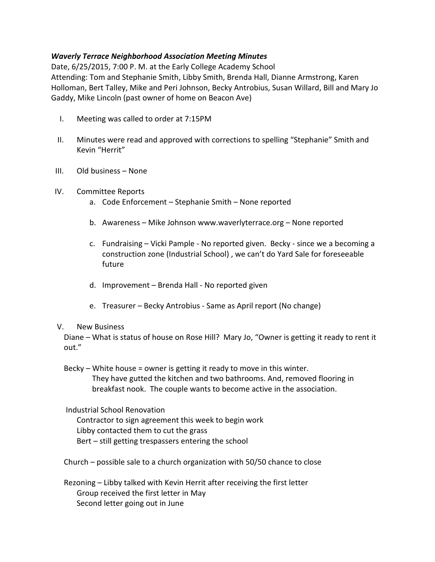## Waverly Terrace Neighborhood Association Meeting Minutes

Date, 6/25/2015, 7:00 P. M. at the Early College Academy School Attending: Tom and Stephanie Smith, Libby Smith, Brenda Hall, Dianne Armstrong, Karen Holloman, Bert Talley, Mike and Peri Johnson, Becky Antrobius, Susan Willard, Bill and Mary Jo Gaddy, Mike Lincoln (past owner of home on Beacon Ave)

- I. Meeting was called to order at 7:15PM
- II. Minutes were read and approved with corrections to spelling "Stephanie" Smith and Kevin "Herrit"
- III. Old business None
- IV. Committee Reports
	- a. Code Enforcement Stephanie Smith None reported
	- b. Awareness Mike Johnson www.waverlyterrace.org None reported
	- c. Fundraising Vicki Pample No reported given. Becky since we a becoming a construction zone (Industrial School) , we can't do Yard Sale for foreseeable future
	- d. Improvement Brenda Hall No reported given
	- e. Treasurer Becky Antrobius Same as April report (No change)

## V. New Business

Diane – What is status of house on Rose Hill? Mary Jo, "Owner is getting it ready to rent it out."

Becky – White house = owner is getting it ready to move in this winter.

They have gutted the kitchen and two bathrooms. And, removed flooring in breakfast nook. The couple wants to become active in the association.

Industrial School Renovation

Contractor to sign agreement this week to begin work Libby contacted them to cut the grass Bert – still getting trespassers entering the school

Church – possible sale to a church organization with 50/50 chance to close

Rezoning – Libby talked with Kevin Herrit after receiving the first letter Group received the first letter in May Second letter going out in June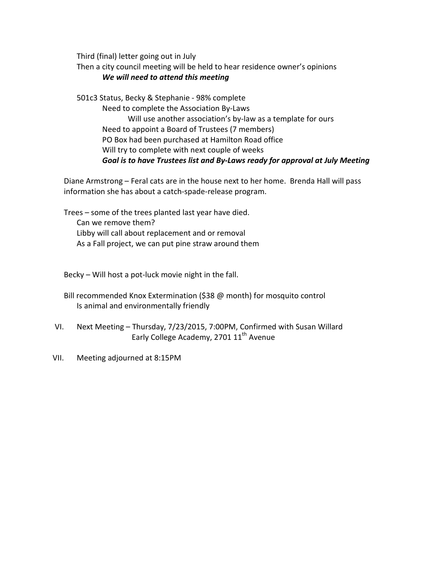Third (final) letter going out in July

Then a city council meeting will be held to hear residence owner's opinions We will need to attend this meeting

501c3 Status, Becky & Stephanie - 98% complete Need to complete the Association By-Laws Will use another association's by-law as a template for ours Need to appoint a Board of Trustees (7 members) PO Box had been purchased at Hamilton Road office Will try to complete with next couple of weeks Goal is to have Trustees list and By-Laws ready for approval at July Meeting

Diane Armstrong – Feral cats are in the house next to her home. Brenda Hall will pass information she has about a catch-spade-release program.

Trees – some of the trees planted last year have died. Can we remove them? Libby will call about replacement and or removal As a Fall project, we can put pine straw around them

Becky – Will host a pot-luck movie night in the fall.

Bill recommended Knox Extermination (\$38 @ month) for mosquito control Is animal and environmentally friendly

- VI. Next Meeting Thursday, 7/23/2015, 7:00PM, Confirmed with Susan Willard Early College Academy, 2701 11<sup>th</sup> Avenue
- VII. Meeting adjourned at 8:15PM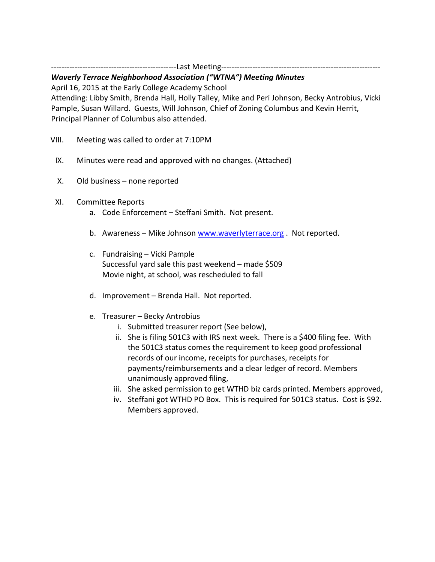------------------------------------------------Last Meeting-------------------------------------------------------------

## Waverly Terrace Neighborhood Association ("WTNA") Meeting Minutes

April 16, 2015 at the Early College Academy School

Attending: Libby Smith, Brenda Hall, Holly Talley, Mike and Peri Johnson, Becky Antrobius, Vicki Pample, Susan Willard. Guests, Will Johnson, Chief of Zoning Columbus and Kevin Herrit, Principal Planner of Columbus also attended.

- VIII. Meeting was called to order at 7:10PM
- IX. Minutes were read and approved with no changes. (Attached)
- X. Old business none reported
- XI. Committee Reports
	- a. Code Enforcement Steffani Smith. Not present.
	- b. Awareness Mike Johnson www.waverlyterrace.org . Not reported.
	- c. Fundraising Vicki Pample Successful yard sale this past weekend – made \$509 Movie night, at school, was rescheduled to fall
	- d. Improvement Brenda Hall. Not reported.
	- e. Treasurer Becky Antrobius
		- i. Submitted treasurer report (See below),
		- ii. She is filing 501C3 with IRS next week. There is a \$400 filing fee. With the 501C3 status comes the requirement to keep good professional records of our income, receipts for purchases, receipts for payments/reimbursements and a clear ledger of record. Members unanimously approved filing,
		- iii. She asked permission to get WTHD biz cards printed. Members approved,
		- iv. Steffani got WTHD PO Box. This is required for 501C3 status. Cost is \$92. Members approved.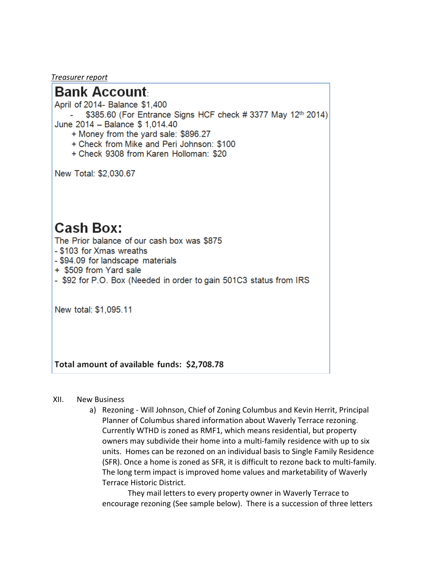Treasurer report

## **Bank Account**

April of 2014- Balance \$1.400

\$385.60 (For Entrance Signs HCF check # 3377 May 12th 2014) June 2014 - Balance \$ 1,014.40

- + Money from the yard sale: \$896.27
- + Check from Mike and Peri Johnson: \$100
- + Check 9308 from Karen Holloman: \$20

New Total: \$2,030.67

# **Cash Box:**

The Prior balance of our cash box was \$875

- \$103 for Xmas wreaths
- \$94.09 for landscape materials
- + \$509 from Yard sale
- \$92 for P.O. Box (Needed in order to gain 501C3 status from IRS

New total: \$1,095.11

Total amount of available funds: \$2,708.78

#### $XII.$ **New Business**

a) Rezoning - Will Johnson, Chief of Zoning Columbus and Kevin Herrit, Principal Planner of Columbus shared information about Waverly Terrace rezoning. Currently WTHD is zoned as RMF1, which means residential, but property owners may subdivide their home into a multi-family residence with up to six units. Homes can be rezoned on an individual basis to Single Family Residence (SFR). Once a home is zoned as SFR, it is difficult to rezone back to multi-family. The long term impact is improved home values and marketability of Waverly Terrace Historic District.

They mail letters to every property owner in Waverly Terrace to encourage rezoning (See sample below). There is a succession of three letters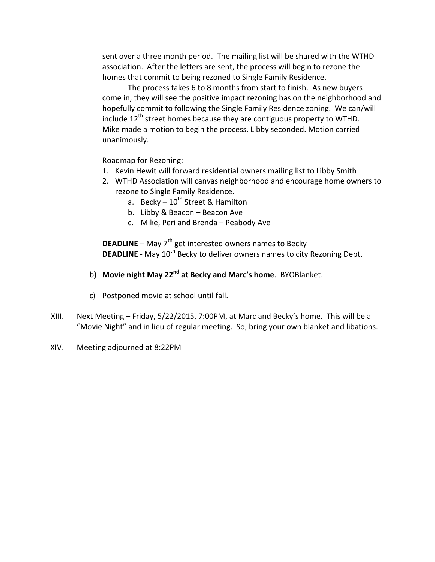sent over a three month period. The mailing list will be shared with the WTHD association. After the letters are sent, the process will begin to rezone the homes that commit to being rezoned to Single Family Residence.

The process takes 6 to 8 months from start to finish. As new buyers come in, they will see the positive impact rezoning has on the neighborhood and hopefully commit to following the Single Family Residence zoning. We can/will include  $12<sup>th</sup>$  street homes because they are contiguous property to WTHD. Mike made a motion to begin the process. Libby seconded. Motion carried unanimously.

Roadmap for Rezoning:

- 1. Kevin Hewit will forward residential owners mailing list to Libby Smith
- 2. WTHD Association will canvas neighborhood and encourage home owners to rezone to Single Family Residence.
	- a. Becky  $-10^{th}$  Street & Hamilton
	- b. Libby & Beacon Beacon Ave
	- c. Mike, Peri and Brenda Peabody Ave

**DEADLINE** – May  $7<sup>th</sup>$  get interested owners names to Becky **DEADLINE** - May 10<sup>th</sup> Becky to deliver owners names to city Rezoning Dept.

- b) Movie night May 22<sup>nd</sup> at Becky and Marc's home. BYOBlanket.
- c) Postponed movie at school until fall.
- XIII. Next Meeting Friday, 5/22/2015, 7:00PM, at Marc and Becky's home. This will be a "Movie Night" and in lieu of regular meeting. So, bring your own blanket and libations.
- XIV. Meeting adjourned at 8:22PM